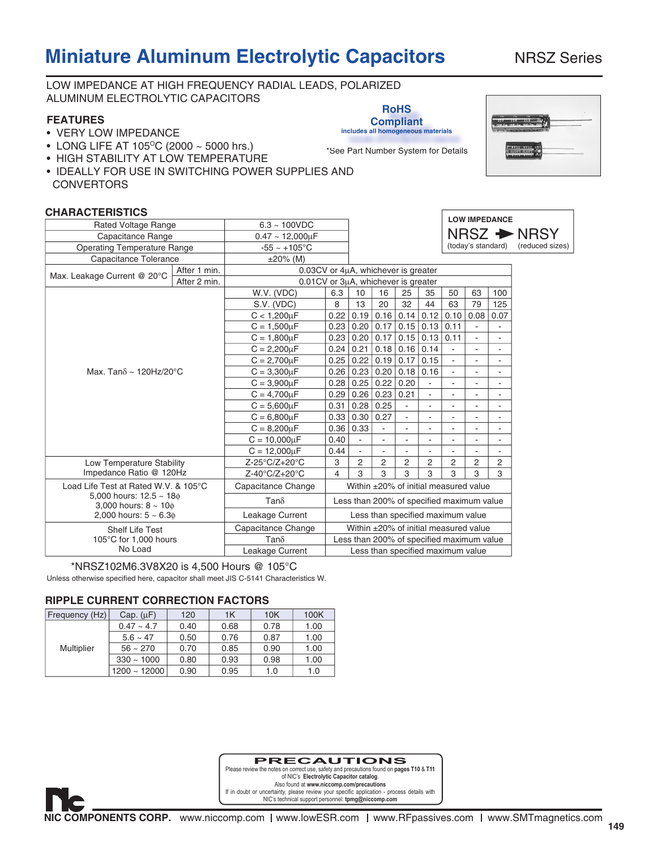# **Miniature Aluminum Electrolytic Capacitors** NRSZ Series

LOW IMPEDANCE AT HIGH FREQUENCY RADIAL LEADS, POLARIZED

ALUMINUM ELECTROLYTIC CAPACITORS

Г

| ALUININUIN LLLUTTIULT TIU                                 | <b>RoHS</b>                                            |                                     |                                           |                 |                          |                          |                                       |                          |                              |                          |                         |  |  |
|-----------------------------------------------------------|--------------------------------------------------------|-------------------------------------|-------------------------------------------|-----------------|--------------------------|--------------------------|---------------------------------------|--------------------------|------------------------------|--------------------------|-------------------------|--|--|
| <b>FEATURES</b><br>• VERY LOW IMPEDANCE                   | <b>Compliant</b><br>includes all homogeneous materials |                                     |                                           |                 |                          |                          |                                       |                          |                              |                          |                         |  |  |
| • LONG LIFE AT 105°C (2000 ~ 5000 hrs.)                   | *See Part Number System for Details                    |                                     |                                           |                 |                          |                          |                                       |                          | NRSZ NRSZ<br>CE105°C CE115°C |                          |                         |  |  |
| • HIGH STABILITY AT LOW TEMPERATURE                       |                                                        |                                     |                                           |                 |                          |                          |                                       |                          |                              |                          |                         |  |  |
| • IDEALLY FOR USE IN SWITCHING POWER SUPPLIES AND         |                                                        |                                     |                                           |                 |                          |                          |                                       |                          |                              |                          |                         |  |  |
| <b>CONVERTORS</b>                                         |                                                        |                                     |                                           |                 |                          |                          |                                       |                          |                              |                          |                         |  |  |
|                                                           |                                                        |                                     |                                           |                 |                          |                          |                                       |                          |                              |                          |                         |  |  |
| <b>CHARACTERISTICS</b>                                    |                                                        |                                     |                                           |                 |                          |                          |                                       |                          |                              |                          |                         |  |  |
| Rated Voltage Range                                       |                                                        | $6.3 \sim 100$ VDC                  |                                           |                 |                          |                          |                                       |                          |                              | <b>LOW IMPEDANCE</b>     |                         |  |  |
| Capacitance Range                                         |                                                        | $0.47 \sim 12,000 \mu F$            |                                           |                 |                          |                          |                                       |                          |                              |                          | $NRSZ \rightarrow NRSY$ |  |  |
| <b>Operating Temperature Range</b>                        |                                                        | $-55 - +105$ °C                     |                                           |                 |                          |                          |                                       |                          | (today's standard)           |                          | (reduced sizes)         |  |  |
| Capacitance Tolerance                                     |                                                        | $\pm 20\%$ (M)                      |                                           |                 |                          |                          |                                       |                          |                              |                          |                         |  |  |
|                                                           | After 1 min.                                           | 0.03CV or 4µA, whichever is greater |                                           |                 |                          |                          |                                       |                          |                              |                          |                         |  |  |
| Max. Leakage Current @ 20°C                               | After 2 min.                                           | 0.01CV or 3µA, whichever is greater |                                           |                 |                          |                          |                                       |                          |                              |                          |                         |  |  |
|                                                           |                                                        | W.V. (VDC)                          | 6.3                                       | 10 <sup>1</sup> | 16                       | 25                       | 35                                    | 50                       | 63                           | 100                      |                         |  |  |
|                                                           |                                                        | S.V. (VDC)                          | 8                                         | 13              | 20                       | 32                       | 44                                    | 63                       | 79                           | 125                      |                         |  |  |
|                                                           |                                                        | $C < 1,200 \mu F$                   | 0.22                                      | 0.19            | $0.16$ 0.14              |                          | 0.12                                  | 0.10                     | 0.08                         | 0.07                     |                         |  |  |
|                                                           |                                                        | $C = 1,500 \mu F$                   |                                           | 0.23   0.20     | $0.17$ 0.15              |                          | 0.13                                  | 0.11                     |                              |                          |                         |  |  |
|                                                           |                                                        | $C = 1,800 \mu F$                   | 0.23                                      | 0.20            |                          | $0.17$ 0.15              | 0.13                                  | 0.11                     | $\mathbf{r}$                 | $\mathbf{r}$             |                         |  |  |
|                                                           |                                                        | $C = 2,200 \mu F$                   | 0.24                                      | 0.21            | $0.18 \mid 0.16$         |                          | 0.14                                  | $\overline{\phantom{a}}$ | $\mathbf{r}$                 | $\blacksquare$           |                         |  |  |
|                                                           |                                                        | $C = 2,700 \mu F$                   | 0.25                                      |                 | $0.22$ 0.19 0.17         |                          | 0.15                                  | $\blacksquare$           | $\overline{\phantom{a}}$     | $\blacksquare$           |                         |  |  |
| Max. Tan $\delta \sim 120$ Hz/20 $^{\circ}$ C             |                                                        | $C = 3,300 \mu F$                   | 0.26                                      | 0.23            | 0.20   0.18              |                          | 0.16                                  | ÷,                       |                              |                          |                         |  |  |
|                                                           |                                                        | $C = 3,900 \mu F$                   |                                           | 0.28   0.25     | 0.22   0.20              |                          | $\mathbf{r}$                          | ÷,                       | $\overline{\phantom{a}}$     | $\sim$                   |                         |  |  |
|                                                           |                                                        | $C = 4,700 \mu F$                   | 0.29                                      |                 | $0.26$ 0.23 0.21         |                          | $\blacksquare$                        | $\blacksquare$           | ÷.                           | $\blacksquare$           |                         |  |  |
|                                                           |                                                        | $C = 5,600 \mu F$                   | 0.31                                      | 0.28            | 0.25                     | $\overline{\phantom{a}}$ | $\mathbf{r}$                          | $\overline{\phantom{a}}$ |                              | $\mathbf{r}$             |                         |  |  |
|                                                           |                                                        | $C = 6,800 \mu F$                   | 0.33                                      | 0.30            | 0.27                     | ÷,                       | $\mathbf{r}$                          | ÷,                       | $\overline{\phantom{a}}$     | $\omega$                 |                         |  |  |
|                                                           |                                                        | $C = 8,200 \mu F$                   | 0.36                                      | 0.33            | $\overline{\phantom{a}}$ | $\blacksquare$           | $\overline{\phantom{a}}$              | $\blacksquare$           | $\blacksquare$               | $\sim$                   |                         |  |  |
|                                                           |                                                        | $C = 10,000 \mu F$                  | 0.40                                      | $\blacksquare$  |                          | ÷,                       |                                       |                          |                              |                          |                         |  |  |
|                                                           |                                                        | $C = 12,000 \mu F$                  | 0.44                                      | $\blacksquare$  | $\overline{\phantom{a}}$ | ÷,                       | $\overline{\phantom{a}}$              | ÷,                       | $\overline{\phantom{a}}$     | $\overline{\phantom{a}}$ |                         |  |  |
| Low Temperature Stability                                 |                                                        | Z-25°C/Z+20°C                       | 3                                         | $\overline{c}$  | $\overline{c}$           | 2                        | 2                                     | 2                        | $\overline{c}$               | 2                        |                         |  |  |
| Impedance Ratio @ 120Hz                                   |                                                        | Z-40°C/Z+20°C                       | $\overline{\mathcal{A}}$                  | 3               | 3                        | 3                        | 3                                     | 3                        | 3                            | 3                        |                         |  |  |
| Load Life Test at Rated W.V. & 105°C                      |                                                        | Capacitance Change                  |                                           |                 |                          |                          | Within ±20% of initial measured value |                          |                              |                          |                         |  |  |
| 5,000 hours: $12.5 \sim 180$<br>3,000 hours: $8 \sim 100$ | $Tan\delta$                                            |                                     | Less than 200% of specified maximum value |                 |                          |                          |                                       |                          |                              |                          |                         |  |  |
| 2,000 hours: $5 \sim 6.3$ $\phi$                          |                                                        | Leakage Current                     |                                           |                 |                          |                          | Less than specified maximum value     |                          |                              |                          |                         |  |  |
| <b>Shelf Life Test</b>                                    |                                                        | Capacitance Change                  |                                           |                 |                          |                          | Within ±20% of initial measured value |                          |                              |                          |                         |  |  |
| 105°C for 1,000 hours                                     |                                                        | $Tan\delta$                         | Less than 200% of specified maximum value |                 |                          |                          |                                       |                          |                              |                          |                         |  |  |
| No Load                                                   |                                                        | Leakage Current                     |                                           |                 |                          |                          | Less than specified maximum value     |                          |                              |                          |                         |  |  |
|                                                           |                                                        |                                     |                                           |                 |                          |                          |                                       |                          |                              |                          |                         |  |  |

Unless otherwise specified here, capacitor shall meet JIS C-5141 Characteristics W. \*NRSZ102M6.3V8X20 is 4,500 Hours @ 105°C

#### **RIPPLE CURRENT CORRECTION FACTORS**

| Frequency (Hz) | Cap. $(\mu F)$  | 120  | 1K   | 10K  | 100K |
|----------------|-----------------|------|------|------|------|
| Multiplier     | $0.47 - 4.7$    | 0.40 | 0.68 | 0.78 | 1.00 |
|                | $5.6 - 47$      | 0.50 | 0.76 | 0.87 | 1.00 |
|                | $56 \sim 270$   | 0.70 | 0.85 | 0.90 | 1.00 |
|                | $330 \sim 1000$ | 0.80 | 0.93 | 0.98 | 1.00 |
|                | $1200 - 12000$  | 0.90 | 0.95 | 1.0  | 1.0  |

**PRECAUTIONS**

Please review the notes on correct use, safety and precautions found on **pages T10** & **T11** of NIC's **Electrolytic Capacitor catalog**. Also found at **www.niccomp.com/precautions**  If in doubt or uncertainty, please review your specific application - process details with NIC's technical support personnel: **tpmg@niccomp.com** 

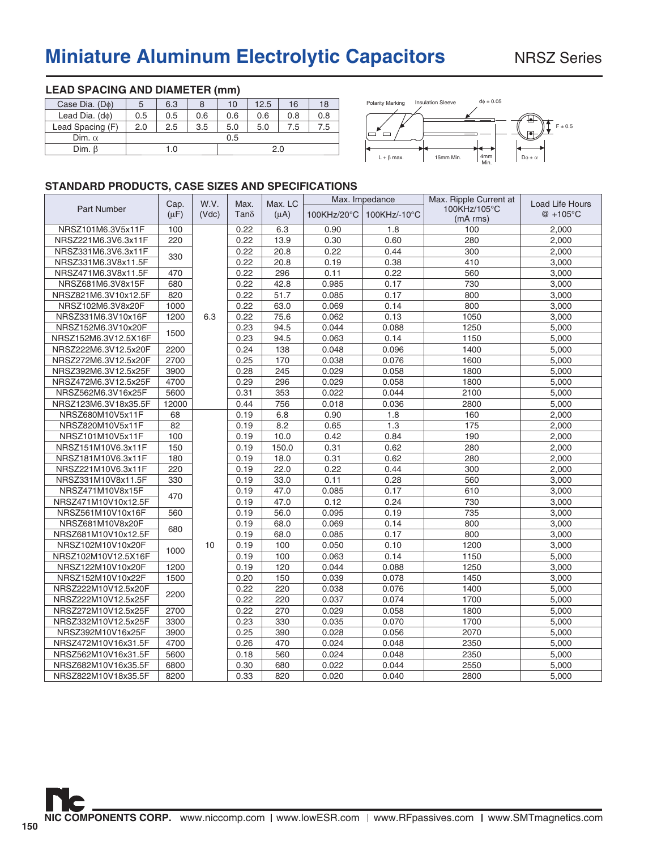# **Miniature Aluminum Electrolytic Capacitors** NRSZ Series

| LEAD SPACING AND DIAMETER (ITIM) |     |     |     |     |      |     |     |  |  |  |  |
|----------------------------------|-----|-----|-----|-----|------|-----|-----|--|--|--|--|
| Case Dia. (Do)                   | 5   | 6.3 | 8   | 10  | 12.5 | 16  | 18  |  |  |  |  |
| Lead Dia. $(d\phi)$              | 0.5 | 0.5 | 0.6 | 0.6 | 0.6  | 0.8 | 0.8 |  |  |  |  |
| Lead Spacing (F)                 | 2.0 | 2.5 | 3.5 | 5.0 | 5.0  | 7.5 | 7.5 |  |  |  |  |
| Dim. $\alpha$                    |     |     |     | 0.5 |      |     |     |  |  |  |  |
| Dim. $\beta$                     |     | 1.0 |     | 2.0 |      |     |     |  |  |  |  |

**LEAD SPACING AND DIAMETER (mm)**



### **STANDARD PRODUCTS, CASE SIZES AND SPECIFICATIONS**

|                      | Cap.      | W.V.  | Max.         | Max. LC   | Max. Impedance |              | Max. Ripple Current at   | Load Life Hours |
|----------------------|-----------|-------|--------------|-----------|----------------|--------------|--------------------------|-----------------|
| <b>Part Number</b>   | $(\mu F)$ | (Vdc) | Tan $\delta$ | $(\mu A)$ | 100KHz/20°C    | 100KHz/-10°C | 100KHz/105°C<br>(mA rms) | @ +105°C        |
| NRSZ101M6.3V5x11F    | 100       |       | 0.22         | 6.3       | 0.90           | 1.8          | 100                      | 2,000           |
| NRSZ221M6.3V6.3x11F  | 220       |       | 0.22         | 13.9      | 0.30           | 0.60         | 280                      | 2,000           |
| NRSZ331M6.3V6.3x11F  | 330       |       | 0.22         | 20.8      | 0.22           | 0.44         | 300                      | 2,000           |
| NRSZ331M6.3V8x11.5F  |           |       | 0.22         | 20.8      | 0.19           | 0.38         | 410                      | 3,000           |
| NRSZ471M6.3V8x11.5F  | 470       |       | 0.22         | 296       | 0.11           | 0.22         | 560                      | 3,000           |
| NRSZ681M6.3V8x15F    | 680       |       | 0.22         | 42.8      | 0.985          | 0.17         | 730                      | 3,000           |
| NRSZ821M6.3V10x12.5F | 820       |       | 0.22         | 51.7      | 0.085          | 0.17         | 800                      | 3,000           |
| NRSZ102M6.3V8x20F    | 1000      |       | 0.22         | 63.0      | 0.069          | 0.14         | 800                      | 3,000           |
| NRSZ331M6.3V10x16F   | 1200      | 6.3   | 0.22         | 75.6      | 0.062          | 0.13         | 1050                     | 3,000           |
| NRSZ152M6.3V10x20F   | 1500      |       | 0.23         | 94.5      | 0.044          | 0.088        | 1250                     | 5,000           |
| NRSZ152M6.3V12.5X16F |           |       | 0.23         | 94.5      | 0.063          | 0.14         | 1150                     | 5,000           |
| NRSZ222M6.3V12.5x20F | 2200      |       | 0.24         | 138       | 0.048          | 0.096        | 1400                     | 5,000           |
| NRSZ272M6.3V12.5x20F | 2700      |       | 0.25         | 170       | 0.038          | 0.076        | 1600                     | 5,000           |
| NRSZ392M6.3V12.5x25F | 3900      |       | 0.28         | 245       | 0.029          | 0.058        | 1800                     | 5,000           |
| NRSZ472M6.3V12.5x25F | 4700      |       | 0.29         | 296       | 0.029          | 0.058        | 1800                     | 5,000           |
| NRSZ562M6.3V16x25F   | 5600      |       | 0.31         | 353       | 0.022          | 0.044        | 2100                     | 5,000           |
| NRSZ123M6.3V18x35.5F | 12000     |       | 0.44         | 756       | 0.018          | 0.036        | 2800                     | 5,000           |
| NRSZ680M10V5x11F     | 68        |       | 0.19         | 6.8       | 0.90           | 1.8          | 160                      | 2,000           |
| NRSZ820M10V5x11F     | 82        |       | 0.19         | 8.2       | 0.65           | 1.3          | 175                      | 2,000           |
| NRSZ101M10V5x11F     | 100       |       | 0.19         | 10.0      | 0.42           | 0.84         | 190                      | 2,000           |
| NRSZ151M10V6.3x11F   | 150       |       | 0.19         | 150.0     | 0.31           | 0.62         | 280                      | 2,000           |
| NRSZ181M10V6.3x11F   | 180       |       | 0.19         | 18.0      | 0.31           | 0.62         | 280                      | 2,000           |
| NRSZ221M10V6.3x11F   | 220       |       | 0.19         | 22.0      | 0.22           | 0.44         | 300                      | 2,000           |
| NRSZ331M10V8x11.5F   | 330       |       | 0.19         | 33.0      | 0.11           | 0.28         | 560                      | 3,000           |
| NRSZ471M10V8x15F     |           |       | 0.19         | 47.0      | 0.085          | 0.17         | 610                      | 3,000           |
| NRSZ471M10V10x12.5F  | 470       |       | 0.19         | 47.0      | 0.12           | 0.24         | 730                      | 3,000           |
| NRSZ561M10V10x16F    | 560       |       | 0.19         | 56.0      | 0.095          | 0.19         | 735                      | 3,000           |
| NRSZ681M10V8x20F     | 680       |       | 0.19         | 68.0      | 0.069          | 0.14         | 800                      | 3,000           |
| NRSZ681M10V10x12.5F  |           |       | 0.19         | 68.0      | 0.085          | 0.17         | 800                      | 3,000           |
| NRSZ102M10V10x20F    | 1000      | 10    | 0.19         | 100       | 0.050          | 0.10         | 1200                     | 3,000           |
| NRSZ102M10V12.5X16F  |           |       | 0.19         | 100       | 0.063          | 0.14         | 1150                     | 5,000           |
| NRSZ122M10V10x20F    | 1200      |       | 0.19         | 120       | 0.044          | 0.088        | 1250                     | 3,000           |
| NRSZ152M10V10x22F    | 1500      |       | 0.20         | 150       | 0.039          | 0.078        | 1450                     | 3,000           |
| NRSZ222M10V12.5x20F  | 2200      |       | 0.22         | 220       | 0.038          | 0.076        | 1400                     | 5,000           |
| NRSZ222M10V12.5x25F  |           |       | 0.22         | 220       | 0.037          | 0.074        | 1700                     | 5,000           |
| NRSZ272M10V12.5x25F  | 2700      |       | 0.22         | 270       | 0.029          | 0.058        | 1800                     | 5,000           |
| NRSZ332M10V12.5x25F  | 3300      |       | 0.23         | 330       | 0.035          | 0.070        | 1700                     | 5,000           |
| NRSZ392M10V16x25F    | 3900      |       | 0.25         | 390       | 0.028          | 0.056        | 2070                     | 5,000           |
| NRSZ472M10V16x31.5F  | 4700      |       | 0.26         | 470       | 0.024          | 0.048        | 2350                     | 5,000           |
| NRSZ562M10V16x31.5F  | 5600      |       | 0.18         | 560       | 0.024          | 0.048        | 2350                     | 5,000           |
| NRSZ682M10V16x35.5F  | 6800      |       | 0.30         | 680       | 0.022          | 0.044        | 2550                     | 5,000           |
| NRSZ822M10V18x35.5F  | 8200      |       | 0.33         | 820       | 0.020          | 0.040        | 2800                     | 5.000           |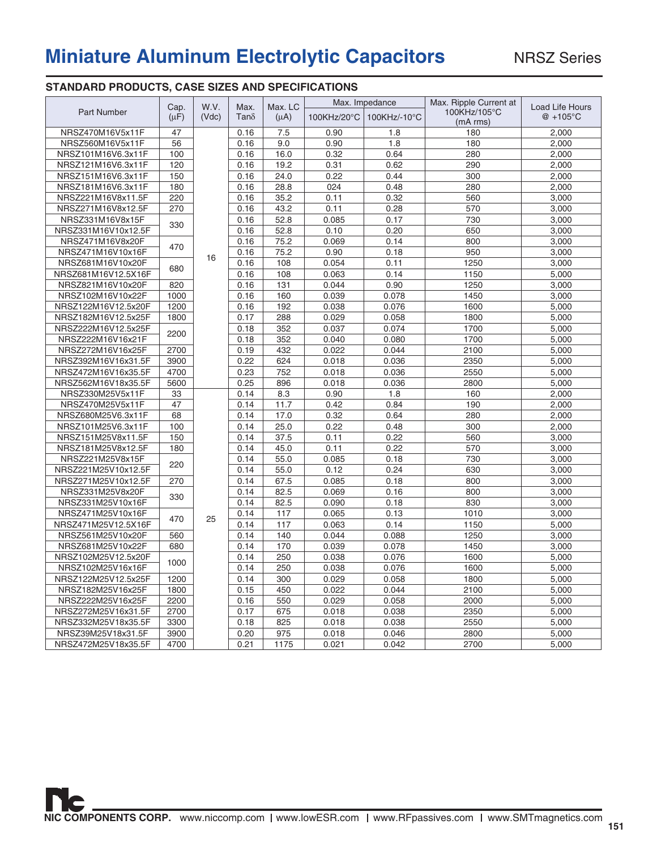## **Miniature Aluminum Electrolytic Capacitors**

### **STANDARD PRODUCTS, CASE SIZES AND SPECIFICATIONS**

|                     |                   |               |                     |                      |             | Max. Impedance | Max. Ripple Current at   |                                |
|---------------------|-------------------|---------------|---------------------|----------------------|-------------|----------------|--------------------------|--------------------------------|
| Part Number         | Cap.<br>$(\mu F)$ | W.V.<br>(Vdc) | Max.<br>$Tan\delta$ | Max. LC<br>$(\mu A)$ | 100KHz/20°C | 100KHz/-10°C   | 100KHz/105°C<br>(mA rms) | Load Life Hours<br>$@ + 105°C$ |
| NRSZ470M16V5x11F    | 47                |               | 0.16                | 7.5                  | 0.90        | 1.8            | 180                      | 2,000                          |
| NRSZ560M16V5x11F    | 56                |               | 0.16                | 9.0                  | 0.90        | 1.8            | 180                      | 2,000                          |
| NRSZ101M16V6.3x11F  | 100               |               | 0.16                | 16.0                 | 0.32        | 0.64           | 280                      | 2,000                          |
| NRSZ121M16V6.3x11F  | 120               |               | 0.16                | 19.2                 | 0.31        | 0.62           | 290                      | 2,000                          |
| NRSZ151M16V6.3x11F  | 150               |               | 0.16                | 24.0                 | 0.22        | 0.44           | 300                      | 2,000                          |
| NRSZ181M16V6.3x11F  | 180               |               | 0.16                | 28.8                 | 024         | 0.48           | 280                      | 2,000                          |
| NRSZ221M16V8x11.5F  | 220               |               | 0.16                | 35.2                 | 0.11        | 0.32           | 560                      | 3,000                          |
| NRSZ271M16V8x12.5F  | 270               |               | 0.16                | 43.2                 | 0.11        | 0.28           | 570                      | 3,000                          |
| NRSZ331M16V8x15F    |                   |               | 0.16                | 52.8                 | 0.085       | 0.17           | 730                      | 3,000                          |
| NRSZ331M16V10x12.5F | 330               |               | 0.16                | 52.8                 | 0.10        | 0.20           | 650                      | 3,000                          |
| NRSZ471M16V8x20F    |                   |               | 0.16                | 75.2                 | 0.069       | 0.14           | 800                      | 3,000                          |
| NRSZ471M16V10x16F   | 470               |               | 0.16                | 75.2                 | 0.90        | 0.18           | 950                      | 3,000                          |
| NRSZ681M16V10x20F   |                   | 16            | 0.16                | 108                  | 0.054       | 0.11           | 1250                     | 3,000                          |
| NRSZ681M16V12.5X16F | 680               |               | 0.16                | 108                  | 0.063       | 0.14           | 1150                     | 5,000                          |
| NRSZ821M16V10x20F   | 820               |               | 0.16                | 131                  | 0.044       | 0.90           | 1250                     | 3,000                          |
| NRSZ102M16V10x22F   | 1000              |               | 0.16                | 160                  | 0.039       | 0.078          | 1450                     | 3,000                          |
| NRSZ122M16V12.5x20F | 1200              |               | 0.16                | 192                  | 0.038       | 0.076          | 1600                     | 5,000                          |
| NRSZ182M16V12.5x25F | 1800              |               | 0.17                | 288                  | 0.029       | 0.058          | 1800                     | 5,000                          |
| NRSZ222M16V12.5x25F |                   |               | 0.18                | 352                  | 0.037       | 0.074          | 1700                     | 5,000                          |
| NRSZ222M16V16x21F   | 2200              |               | 0.18                | 352                  | 0.040       | 0.080          | 1700                     | 5,000                          |
| NRSZ272M16V16x25F   | 2700              |               | 0.19                | 432                  | 0.022       | 0.044          | 2100                     | 5,000                          |
| NRSZ392M16V16x31.5F | 3900              |               | 0.22                | 624                  | 0.018       | 0.036          | 2350                     | 5,000                          |
| NRSZ472M16V16x35.5F | 4700              |               | 0.23                | 752                  | 0.018       | 0.036          | 2550                     | 5,000                          |
| NRSZ562M16V18x35.5F | 5600              |               | 0.25                | 896                  | 0.018       | 0.036          | 2800                     | 5,000                          |
| NRSZ330M25V5x11F    | 33                |               | 0.14                | 8.3                  | 0.90        | 1.8            | 160                      | 2,000                          |
| NRSZ470M25V5x11F    | 47                |               | 0.14                | 11.7                 | 0.42        | 0.84           | 190                      | 2,000                          |
| NRSZ680M25V6.3x11F  | 68                |               | 0.14                | 17.0                 | 0.32        | 0.64           | 280                      | 2,000                          |
| NRSZ101M25V6.3x11F  | 100               |               | 0.14                | 25.0                 | 0.22        | 0.48           | 300                      | 2,000                          |
| NRSZ151M25V8x11.5F  | 150               |               | 0.14                | 37.5                 | 0.11        | 0.22           | 560                      | 3,000                          |
| NRSZ181M25V8x12.5F  | 180               |               | 0.14                | 45.0                 | 0.11        | 0.22           | 570                      | 3,000                          |
| NRSZ221M25V8x15F    |                   |               | 0.14                | 55.0                 | 0.085       | 0.18           | 730                      | 3,000                          |
| NRSZ221M25V10x12.5F | 220               |               | 0.14                | 55.0                 | 0.12        | 0.24           | 630                      | 3,000                          |
| NRSZ271M25V10x12.5F | 270               |               | 0.14                | 67.5                 | 0.085       | 0.18           | 800                      | 3,000                          |
| NRSZ331M25V8x20F    |                   |               | 0.14                | 82.5                 | 0.069       | 0.16           | 800                      | 3,000                          |
| NRSZ331M25V10x16F   | 330               |               | 0.14                | 82.5                 | 0.090       | 0.18           | 830                      | 3,000                          |
| NRSZ471M25V10x16F   |                   |               | 0.14                | 117                  | 0.065       | 0.13           | 1010                     | 3,000                          |
| NRSZ471M25V12.5X16F | 470               | 25            | 0.14                | 117                  | 0.063       | 0.14           | 1150                     | 5,000                          |
| NRSZ561M25V10x20F   | 560               |               | 0.14                | 140                  | 0.044       | 0.088          | 1250                     | 3,000                          |
| NRSZ681M25V10x22F   | 680               |               | 0.14                | 170                  | 0.039       | 0.078          | 1450                     | 3,000                          |
| NRSZ102M25V12.5x20F |                   |               | 0.14                | 250                  | 0.038       | 0.076          | 1600                     | 5,000                          |
| NRSZ102M25V16x16F   | 1000              |               | 0.14                | 250                  | 0.038       | 0.076          | 1600                     | 5,000                          |
| NRSZ122M25V12.5x25F | 1200              |               | 0.14                | 300                  | 0.029       | 0.058          | 1800                     | 5,000                          |
| NRSZ182M25V16x25F   | 1800              |               | 0.15                | 450                  | 0.022       | 0.044          | 2100                     | 5,000                          |
| NRSZ222M25V16x25F   | 2200              |               | 0.16                | 550                  | 0.029       | 0.058          | 2000                     | 5,000                          |
| NRSZ272M25V16x31.5F | 2700              |               | 0.17                | 675                  | 0.018       | 0.038          | 2350                     | 5,000                          |
| NRSZ332M25V18x35.5F | 3300              |               | 0.18                | 825                  | 0.018       | 0.038          | 2550                     | 5,000                          |
| NRSZ39M25V18x31.5F  | 3900              |               | 0.20                | 975                  | 0.018       | 0.046          | 2800                     | 5,000                          |
| NRSZ472M25V18x35.5F | 4700              |               | 0.21                | 1175                 | 0.021       | 0.042          | 2700                     | 5,000                          |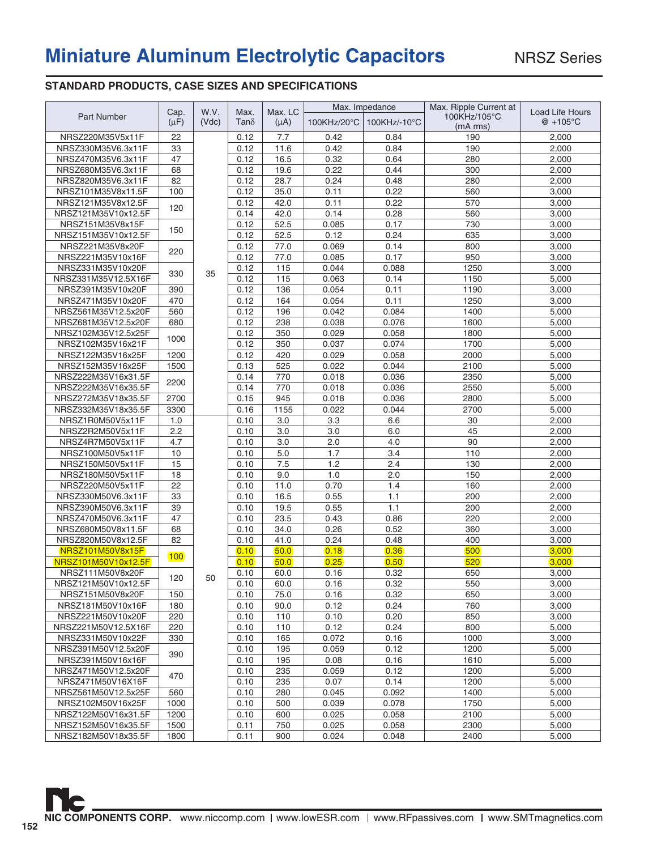# **Miniature Aluminum Electrolytic Capacitors**

### **STANDARD PRODUCTS, CASE SIZES AND SPECIFICATIONS**

|                                      |                 |       |                      |            |             | Max. Impedance | Max. Ripple Current at |                                 |
|--------------------------------------|-----------------|-------|----------------------|------------|-------------|----------------|------------------------|---------------------------------|
| <b>Part Number</b>                   | Cap.            | W.V.  | Max.<br>Tan $\delta$ | Max. LC    | 100KHz/20°C | 100KHz/-10°C   | 100KHz/105°C           | Load Life Hours<br>$@ + 105$ °C |
|                                      | $(\mu F)$       | (Vdc) |                      | $(\mu A)$  |             |                | (mA rms)               |                                 |
| NRSZ220M35V5x11F                     | 22              |       | 0.12                 | 7.7        | 0.42        | 0.84           | 190                    | 2,000                           |
| NRSZ330M35V6.3x11F                   | 33              |       | 0.12                 | 11.6       | 0.42        | 0.84           | 190                    | 2,000                           |
| NRSZ470M35V6.3x11F                   | 47              |       | 0.12                 | 16.5       | 0.32        | 0.64           | 280                    | 2,000                           |
| NRSZ680M35V6.3x11F                   | 68              |       | 0.12                 | 19.6       | 0.22        | 0.44           | 300                    | 2,000                           |
| NRSZ820M35V6.3x11F                   | 82              |       | 0.12                 | 28.7       | 0.24        | 0.48           | 280                    | 2,000                           |
| NRSZ101M35V8x11.5F                   | 100             |       | 0.12                 | 35.0       | 0.11        | 0.22           | 560                    | 3,000                           |
| NRSZ121M35V8x12.5F                   |                 |       | 0.12                 | 42.0       | 0.11        | 0.22           | 570                    | 3,000                           |
| NRSZ121M35V10x12.5F                  | 120             |       | 0.14                 | 42.0       | 0.14        | 0.28           | 560                    | 3,000                           |
| NRSZ151M35V8x15F                     |                 |       | 0.12                 | 52.5       | 0.085       | 0.17           | 730                    | 3,000                           |
| NRSZ151M35V10x12.5F                  | 150             |       | 0.12                 | 52.5       | 0.12        | 0.24           | 635                    | 3,000                           |
| NRSZ221M35V8x20F                     |                 |       | 0.12                 | 77.0       | 0.069       | 0.14           | 800                    | 3,000                           |
| NRSZ221M35V10x16F                    | 220             |       | 0.12                 | 77.0       | 0.085       | 0.17           | 950                    | 3,000                           |
| NRSZ331M35V10x20F                    |                 |       | 0.12                 | 115        | 0.044       | 0.088          | 1250                   | 3,000                           |
| NRSZ331M35V12.5X16F                  | 330             | 35    | 0.12                 | 115        | 0.063       | 0.14           | 1150                   | 5,000                           |
| NRSZ391M35V10x20F                    | 390             |       | 0.12                 | 136        | 0.054       | 0.11           | 1190                   | 3,000                           |
| NRSZ471M35V10x20F                    | 470             |       | 0.12                 | 164        | 0.054       | 0.11           | 1250                   | 3,000                           |
| NRSZ561M35V12.5x20F                  | 560             |       | 0.12                 | 196        | 0.042       | 0.084          | 1400                   | 5,000                           |
| NRSZ681M35V12.5x20F                  | 680             |       | 0.12                 | 238        | 0.038       | 0.076          | 1600                   | 5,000                           |
| NRSZ102M35V12.5x25F                  |                 |       | 0.12                 | 350        | 0.029       | 0.058          | 1800                   | 5,000                           |
|                                      | 1000            |       |                      | 350        |             |                |                        |                                 |
| NRSZ102M35V16x21F                    |                 |       | 0.12                 |            | 0.037       | 0.074          | 1700                   | 5,000                           |
| NRSZ122M35V16x25F                    | 1200            |       | 0.12                 | 420        | 0.029       | 0.058<br>0.044 | 2000                   | 5,000                           |
| NRSZ152M35V16x25F                    | 1500            |       | 0.13                 | 525        | 0.022       |                | 2100                   | 5,000                           |
| NRSZ222M35V16x31.5F                  | 2200            |       | 0.14                 | 770        | 0.018       | 0.036          | 2350                   | 5,000                           |
| NRSZ222M35V16x35.5F                  |                 |       | 0.14                 | 770        | 0.018       | 0.036          | 2550                   | 5,000                           |
| NRSZ272M35V18x35.5F                  | 2700            |       | 0.15                 | 945        | 0.018       | 0.036          | 2800                   | 5,000                           |
| NRSZ332M35V18x35.5F                  | 3300            |       | 0.16                 | 1155       | 0.022       | 0.044          | 2700                   | 5,000                           |
| NRSZ1R0M50V5x11F                     | 1.0             |       | 0.10                 | 3.0        | 3.3         | 6.6            | 30                     | 2,000                           |
| NRSZ2R2M50V5x11F<br>NRSZ4R7M50V5x11F | 2.2<br>4.7      |       | 0.10<br>0.10         | 3.0<br>3.0 | 3.0<br>2.0  | 6.0<br>4.0     | 45<br>90               | 2,000<br>2,000                  |
| NRSZ100M50V5x11F                     | 10              |       | 0.10                 | 5.0        | 1.7         | 3.4            | 110                    |                                 |
| NRSZ150M50V5x11F                     | 15              |       |                      | 7.5        | 1.2         | 2.4            | 130                    | 2,000                           |
| NRSZ180M50V5x11F                     | 18              |       | 0.10<br>0.10         | 9.0        | 1.0         | 2.0            | 150                    | 2,000<br>2,000                  |
| NRSZ220M50V5x11F                     | $\overline{22}$ |       | 0.10                 | 11.0       | 0.70        | 1.4            | 160                    | 2,000                           |
| NRSZ330M50V6.3x11F                   | 33              |       | 0.10                 | 16.5       | 0.55        | 1.1            | 200                    | 2,000                           |
| NRSZ390M50V6.3x11F                   | 39              |       | 0.10                 | 19.5       | 0.55        | 1.1            | 200                    | 2,000                           |
| NRSZ470M50V6.3x11F                   | 47              |       | 0.10                 | 23.5       | 0.43        | 0.86           | 220                    | 2,000                           |
| NRSZ680M50V8x11.5F                   | 68              |       | 0.10                 | 34.0       | 0.26        | 0.52           | 360                    | 3,000                           |
| NRSZ820M50V8x12.5F                   | 82              |       | 0.10                 | 41.0       | 0.24        | 0.48           | 400                    | 3,000                           |
| <b>NRSZ101M50V8x15F</b>              |                 |       | 0.10                 | 50.0       | 0.18        | 0.36           | 500                    | 3,000                           |
| NRSZ101M50V10x12.5F                  | 100             |       | 0.10                 | 50.0       | 0.25        | 0.50           | 520                    | 3,000                           |
| NRSZ111M50V8x20F                     |                 |       | 0.10                 | 60.0       | 0.16        | 0.32           | 650                    | 3,000                           |
| NRSZ121M50V10x12.5F                  | 120             | 50    | 0.10                 | 60.0       | 0.16        | 0.32           | 550                    | 3,000                           |
| NRSZ151M50V8x20F                     | 150             |       | 0.10                 | 75.0       | 0.16        | 0.32           | 650                    | 3,000                           |
| NRSZ181M50V10x16F                    | 180             |       | 0.10                 | 90.0       | 0.12        | 0.24           | 760                    | 3,000                           |
| NRSZ221M50V10x20F                    | 220             |       | 0.10                 | 110        | 0.10        | 0.20           | 850                    | 3,000                           |
| NRSZ221M50V12.5X16F                  | 220             |       | 0.10                 | 110        | 0.12        | 0.24           | 800                    | 5,000                           |
| NRSZ331M50V10x22F                    | 330             |       | 0.10                 | 165        | 0.072       | 0.16           | 1000                   | 3,000                           |
| NRSZ391M50V12.5x20F                  |                 |       | 0.10                 | 195        | 0.059       | 0.12           | 1200                   | 5,000                           |
| NRSZ391M50V16x16F                    | 390             |       | 0.10                 | 195        | 0.08        | 0.16           | 1610                   | 5,000                           |
| NRSZ471M50V12.5x20F                  |                 |       | 0.10                 | 235        | 0.059       | 0.12           | 1200                   | 5,000                           |
| NRSZ471M50V16X16F                    | 470             |       | 0.10                 | 235        | 0.07        | 0.14           | 1200                   | 5,000                           |
| NRSZ561M50V12.5x25F                  | 560             |       | 0.10                 | 280        | 0.045       | 0.092          | 1400                   | 5,000                           |
|                                      |                 |       |                      |            |             |                | 1750                   |                                 |
| NRSZ102M50V16x25F                    | 1000            |       | 0.10                 | 500        | 0.039       | 0.078          |                        | 5,000                           |
| NRSZ122M50V16x31.5F                  | 1200            |       | 0.10                 | 600        | 0.025       | 0.058          | 2100                   | 5,000                           |
| NRSZ152M50V16x35.5F                  | 1500            |       | 0.11                 | 750        | 0.025       | 0.058          | 2300                   | 5,000                           |
| NRSZ182M50V18x35.5F                  | 1800            |       | 0.11                 | 900        | 0.024       | 0.048          | 2400                   | 5,000                           |